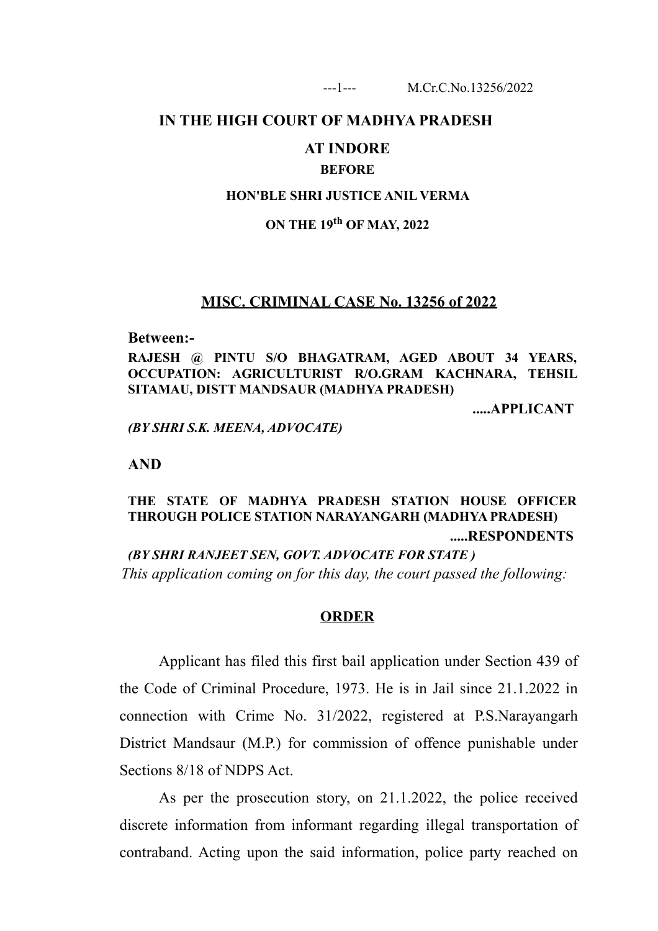### **IN THE HIGH COURT OF MADHYA PRADESH**

### **AT INDORE**

### **BEFORE**

#### **HON'BLE SHRI JUSTICE ANIL VERMA**

# **ON THE 19th OF MAY, 2022**

### **MISC. CRIMINAL CASE No. 13256 of 2022**

#### **Between:-**

**RAJESH @ PINTU S/O BHAGATRAM, AGED ABOUT 34 YEARS, OCCUPATION: AGRICULTURIST R/O.GRAM KACHNARA, TEHSIL SITAMAU, DISTT MANDSAUR (MADHYA PRADESH)**

**.....APPLICANT**

*(BY SHRI S.K. MEENA, ADVOCATE)*

**AND**

# **THE STATE OF MADHYA PRADESH STATION HOUSE OFFICER THROUGH POLICE STATION NARAYANGARH (MADHYA PRADESH) .....RESPONDENTS**

*(BY SHRI RANJEET SEN, GOVT. ADVOCATE FOR STATE ) This application coming on for this day, the court passed the following:*

#### **ORDER**

Applicant has filed this first bail application under Section 439 of the Code of Criminal Procedure, 1973. He is in Jail since 21.1.2022 in connection with Crime No. 31/2022, registered at P.S.Narayangarh District Mandsaur (M.P.) for commission of offence punishable under Sections 8/18 of NDPS Act.

As per the prosecution story, on 21.1.2022, the police received discrete information from informant regarding illegal transportation of contraband. Acting upon the said information, police party reached on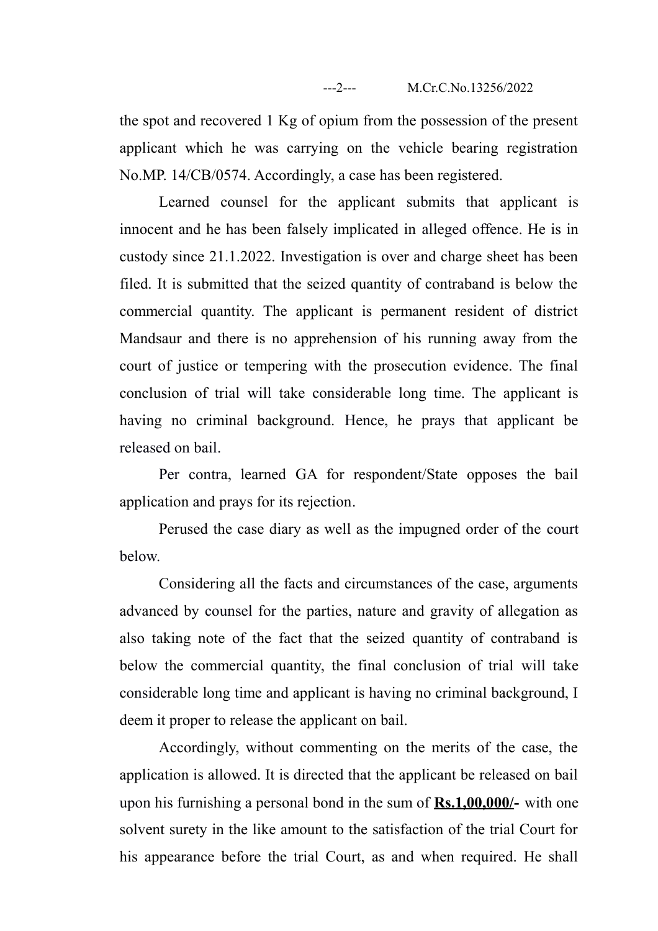the spot and recovered 1 Kg of opium from the possession of the present applicant which he was carrying on the vehicle bearing registration No.MP. 14/CB/0574. Accordingly, a case has been registered.

Learned counsel for the applicant submits that applicant is innocent and he has been falsely implicated in alleged offence. He is in custody since 21.1.2022. Investigation is over and charge sheet has been filed. It is submitted that the seized quantity of contraband is below the commercial quantity. The applicant is permanent resident of district Mandsaur and there is no apprehension of his running away from the court of justice or tempering with the prosecution evidence. The final conclusion of trial will take considerable long time. The applicant is having no criminal background. Hence, he prays that applicant be released on bail.

Per contra, learned GA for respondent/State opposes the bail application and prays for its rejection.

Perused the case diary as well as the impugned order of the court below.

Considering all the facts and circumstances of the case, arguments advanced by counsel for the parties, nature and gravity of allegation as also taking note of the fact that the seized quantity of contraband is below the commercial quantity, the final conclusion of trial will take considerable long time and applicant is having no criminal background, I deem it proper to release the applicant on bail.

Accordingly, without commenting on the merits of the case, the application is allowed. It is directed that the applicant be released on bail upon his furnishing a personal bond in the sum of **Rs.1,00,000/-** with one solvent surety in the like amount to the satisfaction of the trial Court for his appearance before the trial Court, as and when required. He shall